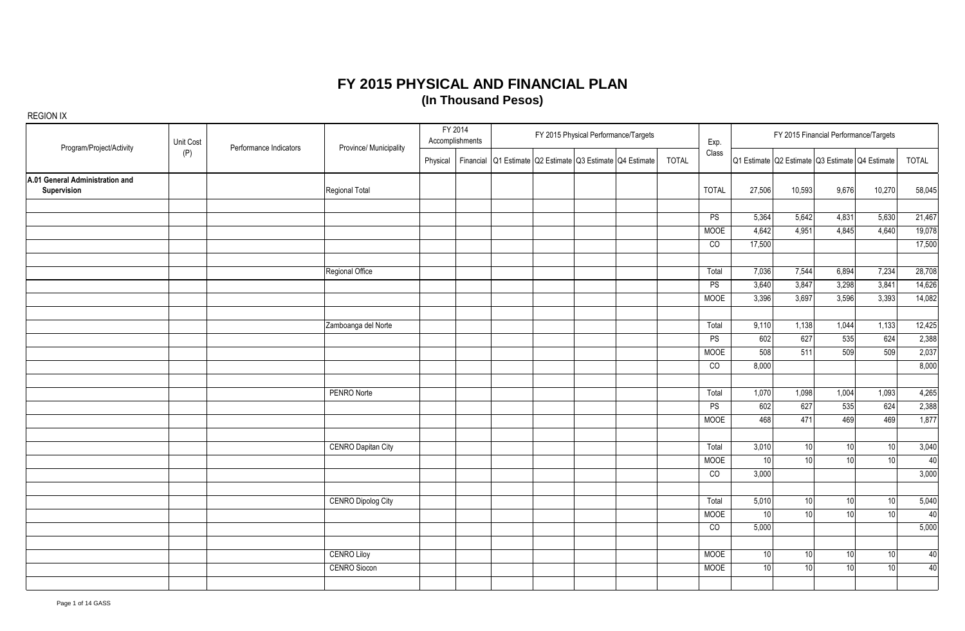| Program/Project/Activity                       | Unit Cost | Performance Indicators | Province/ Municipality    | FY 2014<br>Accomplishments                                           |  | FY 2015 Physical Performance/Targets |              | Exp.           |        |                 | FY 2015 Financial Performance/Targets           |                 |              |
|------------------------------------------------|-----------|------------------------|---------------------------|----------------------------------------------------------------------|--|--------------------------------------|--------------|----------------|--------|-----------------|-------------------------------------------------|-----------------|--------------|
|                                                | (P)       |                        |                           | Physical   Financial Q1 Estimate Q2 Estimate Q3 Estimate Q4 Estimate |  |                                      | <b>TOTAL</b> | Class          |        |                 | Q1 Estimate Q2 Estimate Q3 Estimate Q4 Estimate |                 | <b>TOTAL</b> |
| A.01 General Administration and<br>Supervision |           |                        | <b>Regional Total</b>     |                                                                      |  |                                      |              | <b>TOTAL</b>   | 27,506 | 10,593          | 9,676                                           | 10,270          | 58,045       |
|                                                |           |                        |                           |                                                                      |  |                                      |              | PS             | 5,364  | 5,642           | 4,831                                           | 5,630           | 21,467       |
|                                                |           |                        |                           |                                                                      |  |                                      |              | <b>MOOE</b>    | 4,642  | 4,951           | 4,845                                           | 4,640           | 19,078       |
|                                                |           |                        |                           |                                                                      |  |                                      |              | $\overline{c}$ | 17,500 |                 |                                                 |                 | 17,500       |
|                                                |           |                        | Regional Office           |                                                                      |  |                                      |              | Total          | 7,036  | 7,544           | 6,894                                           | 7,234           | 28,708       |
|                                                |           |                        |                           |                                                                      |  |                                      |              | PS             | 3,640  | 3,847           | 3,298                                           | 3,841           | 14,626       |
|                                                |           |                        |                           |                                                                      |  |                                      |              | <b>MOOE</b>    | 3,396  | 3,697           | 3,596                                           | 3,393           | 14,082       |
|                                                |           |                        | Zamboanga del Norte       |                                                                      |  |                                      |              | Total          | 9,110  | 1,138           | 1,044                                           | 1,133           | 12,425       |
|                                                |           |                        |                           |                                                                      |  |                                      |              | PS             | 602    | 627             | 535                                             | 624             | 2,388        |
|                                                |           |                        |                           |                                                                      |  |                                      |              | <b>MOOE</b>    | 508    | 511             | 509                                             | 509             | 2,037        |
|                                                |           |                        |                           |                                                                      |  |                                      |              | $\overline{c}$ | 8,000  |                 |                                                 |                 | 8,000        |
|                                                |           |                        |                           |                                                                      |  |                                      |              |                |        |                 |                                                 |                 |              |
|                                                |           |                        | PENRO Norte               |                                                                      |  |                                      |              | Total          | 1,070  | 1,098           | 1,004                                           | 1,093           | 4,265        |
|                                                |           |                        |                           |                                                                      |  |                                      |              | PS             | 602    | 627             | 535                                             | 624             | 2,388        |
|                                                |           |                        |                           |                                                                      |  |                                      |              | <b>MOOE</b>    | 468    | 471             | 469                                             | 469             | 1,877        |
|                                                |           |                        | <b>CENRO Dapitan City</b> |                                                                      |  |                                      |              | Total          | 3,010  | 10              | 10 <sup>1</sup>                                 | 10              | 3,040        |
|                                                |           |                        |                           |                                                                      |  |                                      |              | <b>MOOE</b>    | 10     | 10              | 10                                              | 10              | 40           |
|                                                |           |                        |                           |                                                                      |  |                                      |              | $\overline{c}$ | 3,000  |                 |                                                 |                 | 3,000        |
|                                                |           |                        | CENRO Dipolog City        |                                                                      |  |                                      |              | Total          | 5,010  | 10              | 10                                              | 10              | 5,040        |
|                                                |           |                        |                           |                                                                      |  |                                      |              | <b>MOOE</b>    | 10     | 10 <sup>1</sup> | 10 <sup>1</sup>                                 | 10              | 40           |
|                                                |           |                        |                           |                                                                      |  |                                      |              | $\overline{c}$ | 5,000  |                 |                                                 |                 | 5,000        |
|                                                |           |                        | <b>CENRO Liloy</b>        |                                                                      |  |                                      |              | <b>MOOE</b>    | 10     | 10              | 10 <sup>1</sup>                                 | 10              | 40           |
|                                                |           |                        | <b>CENRO Siocon</b>       |                                                                      |  |                                      |              | <b>MOOE</b>    | 10     | 10 <sup>1</sup> | 10                                              | 10 <sup>1</sup> | 40           |
|                                                |           |                        |                           |                                                                      |  |                                      |              |                |        |                 |                                                 |                 |              |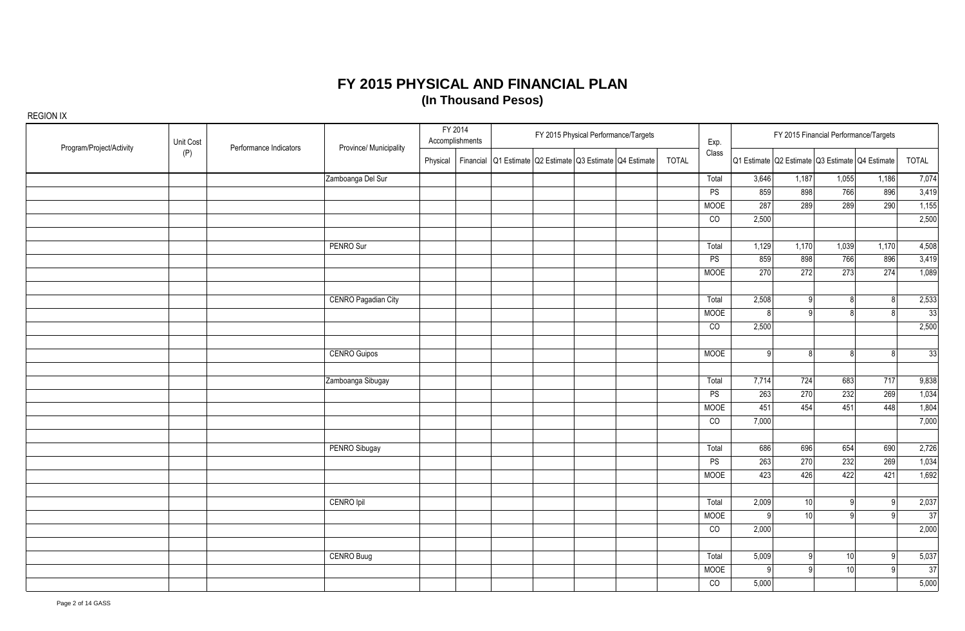| Program/Project/Activity | Unit Cost | Performance Indicators | Province/ Municipality |          | FY 2014<br>Accomplishments |                                                           | FY 2015 Physical Performance/Targets |  |              | Exp.            |       | FY 2015 Financial Performance/Targets           |          |               |                 |
|--------------------------|-----------|------------------------|------------------------|----------|----------------------------|-----------------------------------------------------------|--------------------------------------|--|--------------|-----------------|-------|-------------------------------------------------|----------|---------------|-----------------|
|                          | (P)       |                        |                        | Physical |                            | Financial Q1 Estimate Q2 Estimate Q3 Estimate Q4 Estimate |                                      |  | <b>TOTAL</b> | Class           |       | Q1 Estimate Q2 Estimate Q3 Estimate Q4 Estimate |          |               | <b>TOTAL</b>    |
|                          |           |                        | Zamboanga Del Sur      |          |                            |                                                           |                                      |  |              | Total           | 3,646 | 1,187                                           | 1,055    | 1,186         | 7,074           |
|                          |           |                        |                        |          |                            |                                                           |                                      |  |              | PS              | 859   | 898                                             | 766      | 896           | 3,419           |
|                          |           |                        |                        |          |                            |                                                           |                                      |  |              | <b>MOOE</b>     | 287   | 289                                             | 289      | 290           | 1,155           |
|                          |           |                        |                        |          |                            |                                                           |                                      |  |              | $\overline{c}$  | 2,500 |                                                 |          |               | 2,500           |
|                          |           |                        | PENRO Sur              |          |                            |                                                           |                                      |  |              | Total           | 1,129 | 1,170                                           | 1,039    | 1,170         | 4,508           |
|                          |           |                        |                        |          |                            |                                                           |                                      |  |              | PS              | 859   | 898                                             | 766      | 896           | 3,419           |
|                          |           |                        |                        |          |                            |                                                           |                                      |  |              | <b>MOOE</b>     | 270   | 272                                             | 273      | 274           | 1,089           |
|                          |           |                        | CENRO Pagadian City    |          |                            |                                                           |                                      |  |              | Total           | 2,508 | $\overline{9}$                                  | 8        | 8             | 2,533           |
|                          |           |                        |                        |          |                            |                                                           |                                      |  |              | <b>MOOE</b>     | 8     | $\mathsf{Q}$                                    | 8        | $\mathsf{\ }$ | 33              |
|                          |           |                        |                        |          |                            |                                                           |                                      |  |              | $\overline{c}$  | 2,500 |                                                 |          |               | 2,500           |
|                          |           |                        | <b>CENRO Guipos</b>    |          |                            |                                                           |                                      |  |              | MOOE            | -91   | 8 <sup>1</sup>                                  | 8        | 8             | 33              |
|                          |           |                        |                        |          |                            |                                                           |                                      |  |              |                 |       |                                                 |          |               |                 |
|                          |           |                        | Zamboanga Sibugay      |          |                            |                                                           |                                      |  |              | Total           | 7,714 | $724$                                           | 683      | 717           | 9,838           |
|                          |           |                        |                        |          |                            |                                                           |                                      |  |              | PS              | 263   | 270                                             | 232      | 269           | 1,034           |
|                          |           |                        |                        |          |                            |                                                           |                                      |  |              | <b>MOOE</b>     | 451   | 454                                             | 451      | 448           | 1,804           |
|                          |           |                        |                        |          |                            |                                                           |                                      |  |              | CO              | 7,000 |                                                 |          |               | 7,000           |
|                          |           |                        | PENRO Sibugay          |          |                            |                                                           |                                      |  |              | Total           | 686   | 696                                             | 654      | 690           | 2,726           |
|                          |           |                        |                        |          |                            |                                                           |                                      |  |              | PS              | 263   | 270                                             | 232      | 269           | 1,034           |
|                          |           |                        |                        |          |                            |                                                           |                                      |  |              | <b>MOOE</b>     | 423   | 426                                             | 422      | 421           | 1,692           |
|                          |           |                        | CENRO Ipil             |          |                            |                                                           |                                      |  |              | Total           | 2,009 | 10                                              | Q        | g             | 2,037           |
|                          |           |                        |                        |          |                            |                                                           |                                      |  |              | <b>MOOE</b>     | q     | 10                                              | $\Omega$ | Q             | $\overline{37}$ |
|                          |           |                        |                        |          |                            |                                                           |                                      |  |              | $\overline{co}$ | 2,000 |                                                 |          |               | 2,000           |
|                          |           |                        |                        |          |                            |                                                           |                                      |  |              |                 |       |                                                 |          |               |                 |
|                          |           |                        | CENRO Buug             |          |                            |                                                           |                                      |  |              | Total           | 5,009 | $\overline{9}$                                  | 10       | $\mathsf{Q}$  | 5,037           |
|                          |           |                        |                        |          |                            |                                                           |                                      |  |              | <b>MOOE</b>     | 9     | a                                               | 10       | Q             | $\overline{37}$ |
|                          |           |                        |                        |          |                            |                                                           |                                      |  |              | CO              | 5,000 |                                                 |          |               | 5,000           |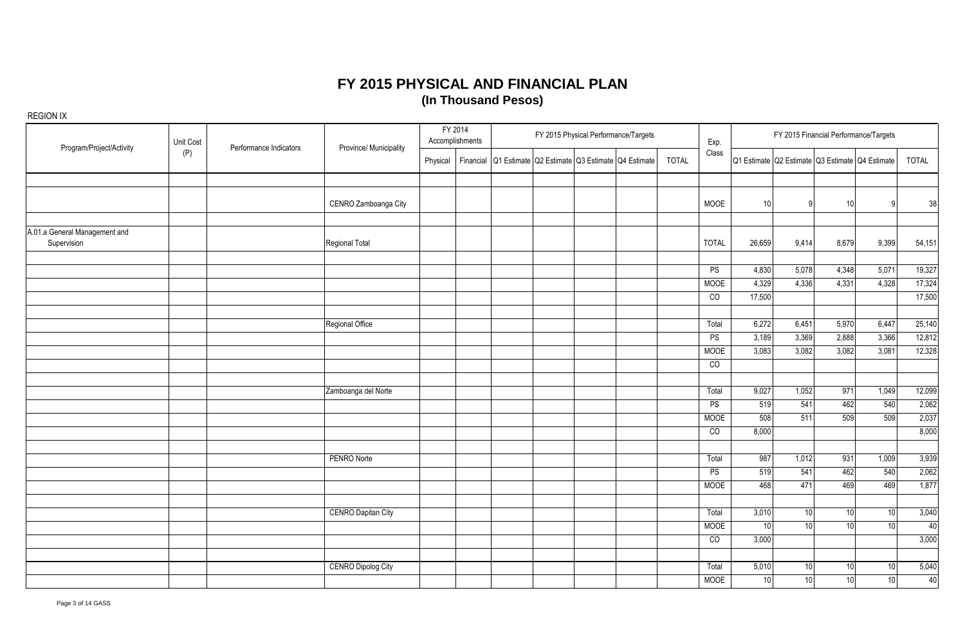| Program/Project/Activity      | Unit Cost | Performance Indicators | Province/ Municipality    |          | FY 2014<br>Accomplishments |  | FY 2015 Physical Performance/Targets                      |              | Exp.           |                 |                                                 |       | FY 2015 Financial Performance/Targets |              |
|-------------------------------|-----------|------------------------|---------------------------|----------|----------------------------|--|-----------------------------------------------------------|--------------|----------------|-----------------|-------------------------------------------------|-------|---------------------------------------|--------------|
|                               | (P)       |                        |                           | Physical |                            |  | Financial Q1 Estimate Q2 Estimate Q3 Estimate Q4 Estimate | <b>TOTAL</b> | Class          |                 | Q1 Estimate Q2 Estimate Q3 Estimate Q4 Estimate |       |                                       | <b>TOTAL</b> |
|                               |           |                        |                           |          |                            |  |                                                           |              |                |                 |                                                 |       |                                       |              |
|                               |           |                        | CENRO Zamboanga City      |          |                            |  |                                                           |              | <b>MOOE</b>    | 10              | 9                                               | 10    | g                                     | 38           |
| A.01.a General Management and |           |                        |                           |          |                            |  |                                                           |              |                |                 |                                                 |       |                                       |              |
| Supervision                   |           |                        | Regional Total            |          |                            |  |                                                           |              | <b>TOTAL</b>   | 26,659          | 9,414                                           | 8,679 | 9,399                                 | 54,151       |
|                               |           |                        |                           |          |                            |  |                                                           |              | <b>PS</b>      | 4,830           | 5,078                                           | 4,348 | 5,071                                 | 19,327       |
|                               |           |                        |                           |          |                            |  |                                                           |              | <b>MOOE</b>    | 4,329           | 4,336                                           | 4,331 | 4,328                                 | 17,324       |
|                               |           |                        |                           |          |                            |  |                                                           |              | $\overline{c}$ | 17,500          |                                                 |       |                                       | 17,500       |
|                               |           |                        | Regional Office           |          |                            |  |                                                           |              | Total          | 6,272           | 6,451                                           | 5,970 | 6,447                                 | 25,140       |
|                               |           |                        |                           |          |                            |  |                                                           |              | PS             | 3,189           | 3,369                                           | 2,888 | 3,366                                 | 12,812       |
|                               |           |                        |                           |          |                            |  |                                                           |              | <b>MOOE</b>    | 3,083           | 3,082                                           | 3,082 | 3,081                                 | 12,328       |
|                               |           |                        |                           |          |                            |  |                                                           |              | $\overline{c}$ |                 |                                                 |       |                                       |              |
|                               |           |                        | Zamboanga del Norte       |          |                            |  |                                                           |              | Total          | 9,027           | 1,052                                           | 971   | 1,049                                 | 12,099       |
|                               |           |                        |                           |          |                            |  |                                                           |              | PS             | 519             | 541                                             | 462   | 540                                   | 2,062        |
|                               |           |                        |                           |          |                            |  |                                                           |              | <b>MOOE</b>    | 508             | 511                                             | 509   | 509                                   | 2,037        |
|                               |           |                        |                           |          |                            |  |                                                           |              | CO             | 8,000           |                                                 |       |                                       | 8,000        |
|                               |           |                        | PENRO Norte               |          |                            |  |                                                           |              | Total          | 987             | 1,012                                           | 931   | 1,009                                 | 3,939        |
|                               |           |                        |                           |          |                            |  |                                                           |              | PS             | 519             | 541                                             | 462   | 540                                   | 2,062        |
|                               |           |                        |                           |          |                            |  |                                                           |              | <b>MOOE</b>    | 468             | 471                                             | 469   | 469                                   | 1,877        |
|                               |           |                        | <b>CENRO Dapitan City</b> |          |                            |  |                                                           |              | Total          | 3,010           | 10                                              | 10    | 10                                    | 3,040        |
|                               |           |                        |                           |          |                            |  |                                                           |              | <b>MOOE</b>    | 10              | 10 <sup>1</sup>                                 | 10    | 10                                    | 40           |
|                               |           |                        |                           |          |                            |  |                                                           |              | $\overline{c}$ | 3,000           |                                                 |       |                                       | 3,000        |
|                               |           |                        | <b>CENRO Dipolog City</b> |          |                            |  |                                                           |              | Total          | 5,010           | 10 <sup>1</sup>                                 | 10    | 10                                    | 5,040        |
|                               |           |                        |                           |          |                            |  |                                                           |              | <b>MOOE</b>    | 10 <sup>1</sup> | 10 <sup>1</sup>                                 | 10    | 10                                    | 40           |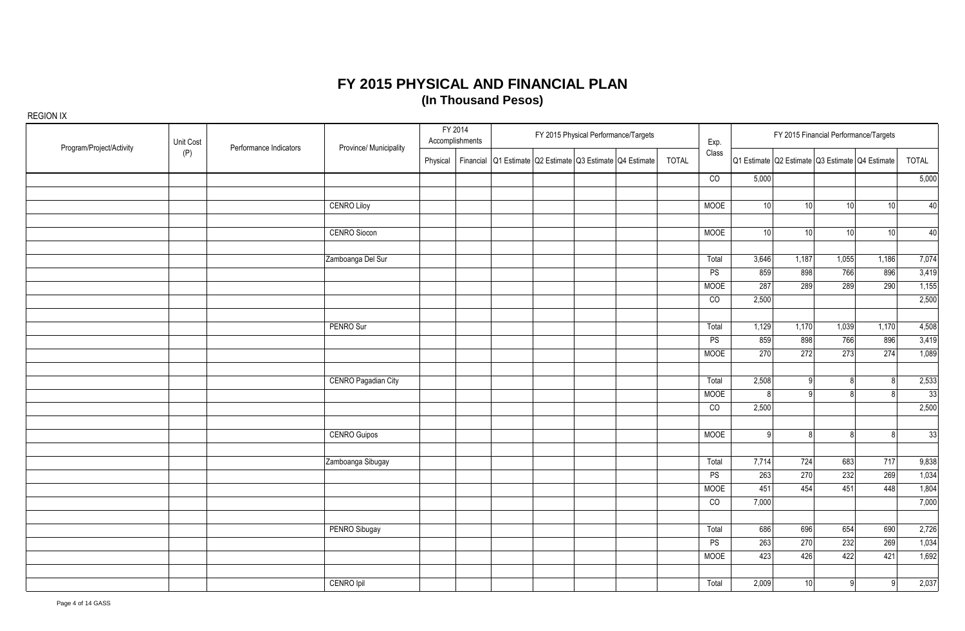| Unit Cost<br>Program/Project/Activity | Performance Indicators | Province/ Municipality     |          | FY 2014<br>Accomplishments                                |  | FY 2015 Physical Performance/Targets |              | Exp.              |                                                 | FY 2015 Financial Performance/Targets |                 |                 |                |
|---------------------------------------|------------------------|----------------------------|----------|-----------------------------------------------------------|--|--------------------------------------|--------------|-------------------|-------------------------------------------------|---------------------------------------|-----------------|-----------------|----------------|
| (P)                                   |                        |                            | Physical | Financial Q1 Estimate Q2 Estimate Q3 Estimate Q4 Estimate |  |                                      | <b>TOTAL</b> | Class             | Q1 Estimate Q2 Estimate Q3 Estimate Q4 Estimate |                                       |                 |                 | <b>TOTAL</b>   |
|                                       |                        |                            |          |                                                           |  |                                      |              | $\overline{c}$    | 5,000                                           |                                       |                 |                 | 5,000          |
|                                       |                        |                            |          |                                                           |  |                                      |              |                   |                                                 |                                       |                 |                 |                |
|                                       |                        | <b>CENRO Liloy</b>         |          |                                                           |  |                                      |              | <b>MOOE</b>       | 10 <sup>1</sup>                                 | 10 <sup>1</sup>                       | 10 <sup>1</sup> | 10 <sup>1</sup> | 40             |
|                                       |                        |                            |          |                                                           |  |                                      |              |                   |                                                 |                                       |                 |                 |                |
|                                       |                        | <b>CENRO Siocon</b>        |          |                                                           |  |                                      |              | <b>MOOE</b>       | 10 <sup>1</sup>                                 | 10 <sup>1</sup>                       | 10              | 10              | 40             |
|                                       |                        |                            |          |                                                           |  |                                      |              |                   |                                                 |                                       |                 |                 |                |
|                                       |                        | Zamboanga Del Sur          |          |                                                           |  |                                      |              | Total<br>PS       | 3,646<br>859                                    | 1,187<br>898                          | 1,055<br>766    | 1,186<br>896    | 7,074<br>3,419 |
|                                       |                        |                            |          |                                                           |  |                                      |              | <b>MOOE</b>       | 287                                             | 289                                   | 289             | 290             | 1,155          |
|                                       |                        |                            |          |                                                           |  |                                      |              | $\overline{c}$    | 2,500                                           |                                       |                 |                 | 2,500          |
|                                       |                        |                            |          |                                                           |  |                                      |              |                   |                                                 |                                       |                 |                 |                |
|                                       |                        | PENRO Sur                  |          |                                                           |  |                                      |              | Total             | 1,129                                           | 1,170                                 | 1,039           | 1,170           | 4,508          |
|                                       |                        |                            |          |                                                           |  |                                      |              | PS                | 859                                             | 898                                   | 766             | 896             | 3,419          |
|                                       |                        |                            |          |                                                           |  |                                      |              | <b>MOOE</b>       | 270                                             | 272                                   | 273             | 274             | 1,089          |
|                                       |                        |                            |          |                                                           |  |                                      |              |                   |                                                 |                                       |                 |                 |                |
|                                       |                        | <b>CENRO Pagadian City</b> |          |                                                           |  |                                      |              | Total             | 2,508                                           | $\mathsf{Q}$                          | R               | 8               | 2,533          |
|                                       |                        |                            |          |                                                           |  |                                      |              | <b>MOOE</b>       | 8                                               | $\Omega$                              |                 | 8               | 33             |
|                                       |                        |                            |          |                                                           |  |                                      |              | $\overline{co}$   | 2,500                                           |                                       |                 |                 | 2,500          |
|                                       |                        |                            |          |                                                           |  |                                      |              |                   |                                                 |                                       |                 |                 |                |
|                                       |                        | <b>CENRO Guipos</b>        |          |                                                           |  |                                      |              | <b>MOOE</b>       | 9l                                              | $\mathsf{R}$                          | 8 <sup>1</sup>  | 8               | 33             |
|                                       |                        |                            |          |                                                           |  |                                      |              |                   |                                                 |                                       |                 |                 |                |
|                                       |                        | Zamboanga Sibugay          |          |                                                           |  |                                      |              | Total             | 7,714                                           | 724                                   | 683             | 717             | 9,838          |
|                                       |                        |                            |          |                                                           |  |                                      |              | PS<br><b>MOOE</b> | 263<br>451                                      | 270<br>454                            | 232<br>451      | 269<br>448      | 1,034<br>1,804 |
|                                       |                        |                            |          |                                                           |  |                                      |              | $\overline{c}$    | 7,000                                           |                                       |                 |                 | 7,000          |
|                                       |                        |                            |          |                                                           |  |                                      |              |                   |                                                 |                                       |                 |                 |                |
|                                       |                        | PENRO Sibugay              |          |                                                           |  |                                      |              | Total             | 686                                             | 696                                   | 654             | 690             | 2,726          |
|                                       |                        |                            |          |                                                           |  |                                      |              | PS                | 263                                             | 270                                   | 232             | 269             | 1,034          |
|                                       |                        |                            |          |                                                           |  |                                      |              | <b>MOOE</b>       | 423                                             | 426                                   | 422             | 421             | 1,692          |
|                                       |                        |                            |          |                                                           |  |                                      |              |                   |                                                 |                                       |                 |                 |                |
|                                       |                        | CENRO Ipil                 |          |                                                           |  |                                      |              | Total             | 2,009                                           | 10 <sup>1</sup>                       | $\mathsf{Q}$    | 9               | 2,037          |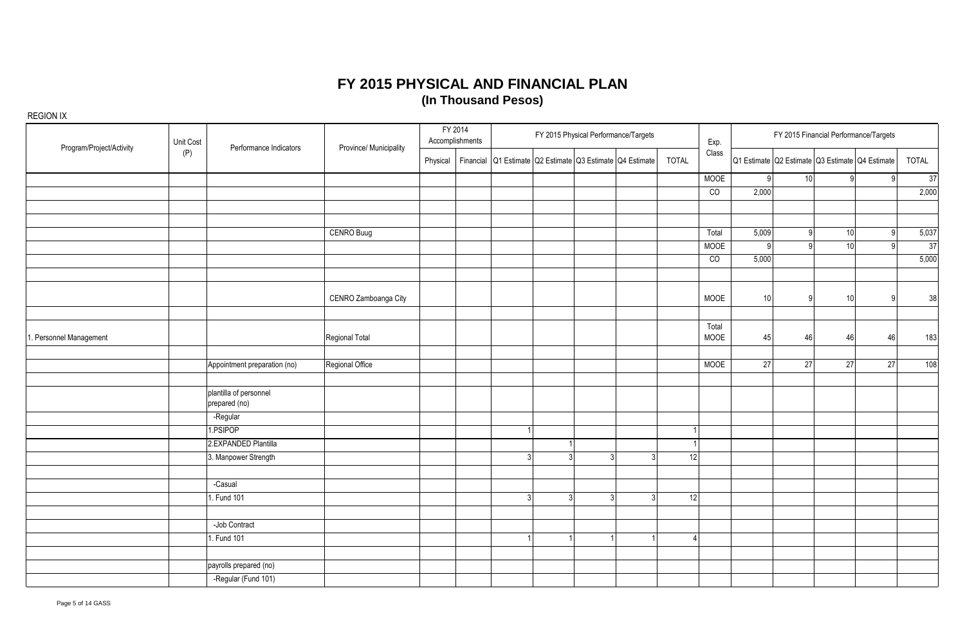| Program/Project/Activity | Unit Cost | Performance Indicators       | Province/ Municipality |          | FY 2014<br>Accomplishments |                                                           |               | FY 2015 Physical Performance/Targets |                | Exp.                  |       |                 |                 | FY 2015 Financial Performance/Targets           |                 |
|--------------------------|-----------|------------------------------|------------------------|----------|----------------------------|-----------------------------------------------------------|---------------|--------------------------------------|----------------|-----------------------|-------|-----------------|-----------------|-------------------------------------------------|-----------------|
|                          | (P)       |                              |                        | Physical |                            | Financial Q1 Estimate Q2 Estimate Q3 Estimate Q4 Estimate |               |                                      |                | Class<br><b>TOTAL</b> |       |                 |                 | Q1 Estimate Q2 Estimate Q3 Estimate Q4 Estimate | <b>TOTAL</b>    |
|                          |           |                              |                        |          |                            |                                                           |               |                                      |                | <b>MOOE</b>           |       | 10 <sup>1</sup> |                 | $\mathsf{Q}$<br>9                               | 37              |
|                          |           |                              |                        |          |                            |                                                           |               |                                      |                | $\overline{c}$        | 2,000 |                 |                 |                                                 | 2,000           |
|                          |           |                              |                        |          |                            |                                                           |               |                                      |                |                       |       |                 |                 |                                                 |                 |
|                          |           |                              |                        |          |                            |                                                           |               |                                      |                |                       |       |                 |                 |                                                 |                 |
|                          |           |                              | <b>CENRO Buug</b>      |          |                            |                                                           |               |                                      |                | Total                 | 5,009 | $\mathsf{Q}$    | 10 <sup>1</sup> | 9                                               | 5,037           |
|                          |           |                              |                        |          |                            |                                                           |               |                                      |                | <b>MOOE</b>           | C     |                 | 10              | q                                               | $\overline{37}$ |
|                          |           |                              |                        |          |                            |                                                           |               |                                      |                | $\overline{c}$        | 5,000 |                 |                 |                                                 | 5,000           |
|                          |           |                              |                        |          |                            |                                                           |               |                                      |                |                       |       |                 |                 |                                                 |                 |
|                          |           |                              |                        |          |                            |                                                           |               |                                      |                |                       |       |                 |                 |                                                 |                 |
|                          |           |                              | CENRO Zamboanga City   |          |                            |                                                           |               |                                      |                | MOOE                  | 10    | a               | 10              | Q                                               | 38              |
|                          |           |                              |                        |          |                            |                                                           |               |                                      |                |                       |       |                 |                 |                                                 |                 |
| . Personnel Management   |           |                              | Regional Total         |          |                            |                                                           |               |                                      |                | Total<br>MOOE         | 45    | 46              | 46              | 46                                              | 183             |
|                          |           |                              |                        |          |                            |                                                           |               |                                      |                |                       |       |                 |                 |                                                 |                 |
|                          |           | Appointment preparation (no) | Regional Office        |          |                            |                                                           |               |                                      |                | <b>MOOE</b>           | 27    | 27              | 27              | 27                                              | 108             |
|                          |           |                              |                        |          |                            |                                                           |               |                                      |                |                       |       |                 |                 |                                                 |                 |
|                          |           | plantilla of personnel       |                        |          |                            |                                                           |               |                                      |                |                       |       |                 |                 |                                                 |                 |
|                          |           | prepared (no)                |                        |          |                            |                                                           |               |                                      |                |                       |       |                 |                 |                                                 |                 |
|                          |           | -Regular                     |                        |          |                            |                                                           |               |                                      |                |                       |       |                 |                 |                                                 |                 |
|                          |           | 1.PSIPOP                     |                        |          |                            |                                                           |               |                                      |                |                       |       |                 |                 |                                                 |                 |
|                          |           | 2.EXPANDED Plantilla         |                        |          |                            |                                                           |               |                                      |                |                       |       |                 |                 |                                                 |                 |
|                          |           | 3. Manpower Strength         |                        |          |                            | $\overline{3}$                                            | $\mathcal{R}$ | 3                                    | $\overline{3}$ | 12                    |       |                 |                 |                                                 |                 |
|                          |           |                              |                        |          |                            |                                                           |               |                                      |                |                       |       |                 |                 |                                                 |                 |
|                          |           | -Casual                      |                        |          |                            |                                                           |               |                                      |                |                       |       |                 |                 |                                                 |                 |
|                          |           | 1. Fund 101                  |                        |          |                            | $\mathbf{R}$                                              | 3             | 3                                    | $\overline{3}$ | 12                    |       |                 |                 |                                                 |                 |
|                          |           |                              |                        |          |                            |                                                           |               |                                      |                |                       |       |                 |                 |                                                 |                 |
|                          |           | -Job Contract                |                        |          |                            |                                                           |               |                                      |                |                       |       |                 |                 |                                                 |                 |
|                          |           | 1. Fund 101                  |                        |          |                            |                                                           |               |                                      |                | 4                     |       |                 |                 |                                                 |                 |
|                          |           |                              |                        |          |                            |                                                           |               |                                      |                |                       |       |                 |                 |                                                 |                 |
|                          |           | payrolls prepared (no)       |                        |          |                            |                                                           |               |                                      |                |                       |       |                 |                 |                                                 |                 |
|                          |           | -Regular (Fund 101)          |                        |          |                            |                                                           |               |                                      |                |                       |       |                 |                 |                                                 |                 |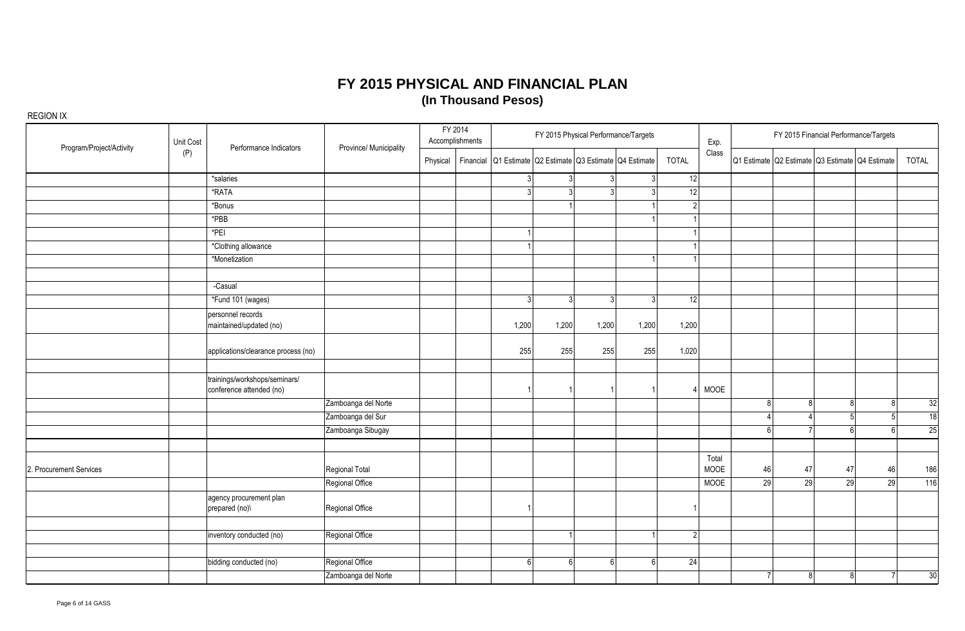| Program/Project/Activity | Unit Cost | Performance Indicators                                    | Province/ Municipality |          | FY 2014<br>Accomplishments |                                                           |               | FY 2015 Physical Performance/Targets |                |               | Exp.          |    |    |                | FY 2015 Financial Performance/Targets           |                 |
|--------------------------|-----------|-----------------------------------------------------------|------------------------|----------|----------------------------|-----------------------------------------------------------|---------------|--------------------------------------|----------------|---------------|---------------|----|----|----------------|-------------------------------------------------|-----------------|
|                          | (P)       |                                                           |                        | Physical |                            | Financial Q1 Estimate Q2 Estimate Q3 Estimate Q4 Estimate |               |                                      |                | <b>TOTAL</b>  | Class         |    |    |                | Q1 Estimate Q2 Estimate Q3 Estimate Q4 Estimate | <b>TOTAL</b>    |
|                          |           | *salaries                                                 |                        |          |                            | 3                                                         |               | 3                                    |                | 12            |               |    |    |                |                                                 |                 |
|                          |           | *RATA                                                     |                        |          |                            |                                                           | ৽             | $\mathcal{R}$                        |                | 12            |               |    |    |                |                                                 |                 |
|                          |           | *Bonus                                                    |                        |          |                            |                                                           |               |                                      |                |               |               |    |    |                |                                                 |                 |
|                          |           | $*PBB$                                                    |                        |          |                            |                                                           |               |                                      |                |               |               |    |    |                |                                                 |                 |
|                          |           | *PEI                                                      |                        |          |                            |                                                           |               |                                      |                |               |               |    |    |                |                                                 |                 |
|                          |           | *Clothing allowance                                       |                        |          |                            |                                                           |               |                                      |                |               |               |    |    |                |                                                 |                 |
|                          |           | *Monetization                                             |                        |          |                            |                                                           |               |                                      |                |               |               |    |    |                |                                                 |                 |
|                          |           | -Casual                                                   |                        |          |                            |                                                           |               |                                      |                |               |               |    |    |                |                                                 |                 |
|                          |           | *Fund 101 (wages)                                         |                        |          |                            | $\mathbf{R}$                                              | $\mathcal{R}$ | 3                                    | $\overline{3}$ | 12            |               |    |    |                |                                                 |                 |
|                          |           | personnel records<br>maintained/updated (no)              |                        |          |                            | 1,200                                                     | 1,200         | 1,200                                | 1,200          | 1,200         |               |    |    |                |                                                 |                 |
|                          |           | applications/clearance process (no)                       |                        |          |                            | 255                                                       | 255           | 255                                  | 255            | 1,020         |               |    |    |                |                                                 |                 |
|                          |           | trainings/workshops/seminars/<br>conference attended (no) |                        |          |                            |                                                           |               |                                      |                |               | MOOE          |    |    |                |                                                 |                 |
|                          |           |                                                           | Zamboanga del Norte    |          |                            |                                                           |               |                                      |                |               |               |    | 81 | $\mathsf{R}$   | 8                                               | 32              |
|                          |           |                                                           | Zamboanga del Sur      |          |                            |                                                           |               |                                      |                |               |               |    |    | $\overline{5}$ | 5                                               | 18              |
|                          |           |                                                           | Zamboanga Sibugay      |          |                            |                                                           |               |                                      |                |               |               |    |    | 6              | $6 \overline{6}$                                | $\overline{25}$ |
| 2. Procurement Services  |           |                                                           | Regional Total         |          |                            |                                                           |               |                                      |                |               | Total<br>MOOE | 46 | 47 | $47\,$         | 46                                              | 186             |
|                          |           |                                                           | Regional Office        |          |                            |                                                           |               |                                      |                |               | <b>MOOE</b>   | 29 | 29 | 29             | 29                                              | 116             |
|                          |           | agency procurement plan<br>prepared (no)\                 | Regional Office        |          |                            |                                                           |               |                                      |                |               |               |    |    |                |                                                 |                 |
|                          |           | inventory conducted (no)                                  | Regional Office        |          |                            |                                                           |               |                                      |                | $\mathcal{D}$ |               |    |    |                |                                                 |                 |
|                          |           | bidding conducted (no)                                    | Regional Office        |          |                            |                                                           | $\epsilon$    | 6                                    | ĥ              | 24            |               |    |    |                |                                                 |                 |
|                          |           |                                                           | Zamboanga del Norte    |          |                            |                                                           |               |                                      |                |               |               |    | 8  | 8              | $\overline{7}$                                  | 30              |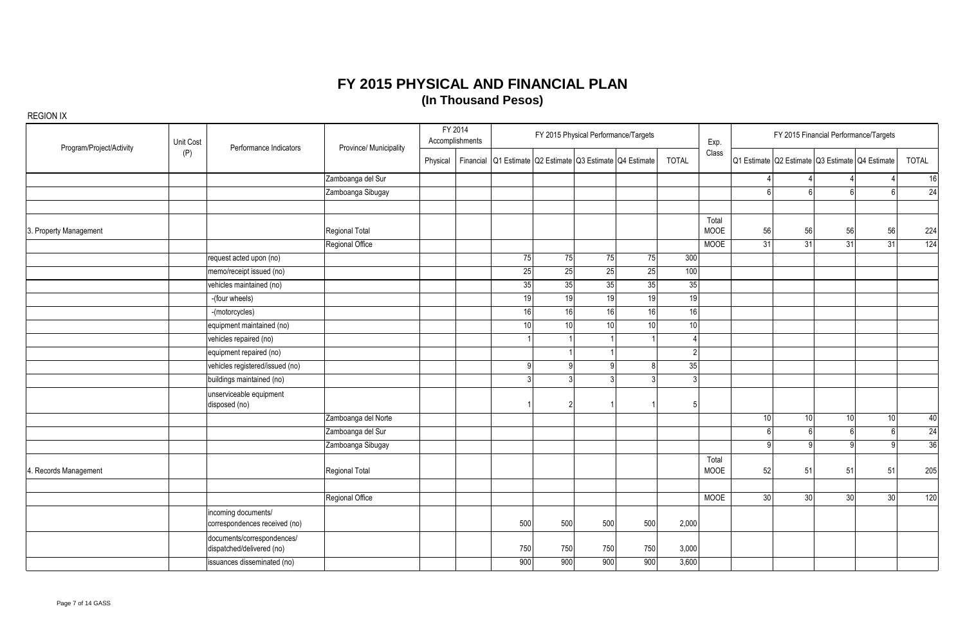|                          | Unit Cost | Performance Indicators                                  |                        |          | FY 2014<br>Accomplishments |     |                 |                 | FY 2015 Physical Performance/Targets                      |              | Exp.          |    |                 |    | FY 2015 Financial Performance/Targets           |                 |
|--------------------------|-----------|---------------------------------------------------------|------------------------|----------|----------------------------|-----|-----------------|-----------------|-----------------------------------------------------------|--------------|---------------|----|-----------------|----|-------------------------------------------------|-----------------|
| Program/Project/Activity | (P)       |                                                         | Province/ Municipality | Physical |                            |     |                 |                 | Financial Q1 Estimate Q2 Estimate Q3 Estimate Q4 Estimate | <b>TOTAL</b> | Class         |    |                 |    | Q1 Estimate Q2 Estimate Q3 Estimate Q4 Estimate | <b>TOTAL</b>    |
|                          |           |                                                         | Zamboanga del Sur      |          |                            |     |                 |                 |                                                           |              |               |    |                 |    |                                                 | 16              |
|                          |           |                                                         | Zamboanga Sibugay      |          |                            |     |                 |                 |                                                           |              |               |    | ĥ               | 6  | ĥ                                               | 24              |
| 3. Property Management   |           |                                                         | Regional Total         |          |                            |     |                 |                 |                                                           |              | Total<br>MOOE | 56 | 56              | 56 | 56                                              | 224             |
|                          |           |                                                         | Regional Office        |          |                            |     |                 |                 |                                                           |              | <b>MOOE</b>   | 31 | 31              | 31 | 31                                              | 124             |
|                          |           | request acted upon (no)                                 |                        |          |                            | 75  | 75              | 75              | 75                                                        | 300          |               |    |                 |    |                                                 |                 |
|                          |           | memo/receipt issued (no)                                |                        |          |                            | 25  | 25              | 25              | 25                                                        | 100          |               |    |                 |    |                                                 |                 |
|                          |           | vehicles maintained (no)                                |                        |          |                            | 35  | 35              | 35              | 35                                                        | 35           |               |    |                 |    |                                                 |                 |
|                          |           | -(four wheels)                                          |                        |          |                            | 19  | $\overline{19}$ | 19              | 19                                                        | 19           |               |    |                 |    |                                                 |                 |
|                          |           | -(motorcycles)                                          |                        |          |                            | 16  | 16              | 16              | 16                                                        | 16           |               |    |                 |    |                                                 |                 |
|                          |           | equipment maintained (no)                               |                        |          |                            | 10  | 10              | 10 <sup>1</sup> | 10 <sup>1</sup>                                           | 10           |               |    |                 |    |                                                 |                 |
|                          |           | vehicles repaired (no)                                  |                        |          |                            |     |                 |                 |                                                           |              |               |    |                 |    |                                                 |                 |
|                          |           | equipment repaired (no)                                 |                        |          |                            |     |                 |                 |                                                           | 2            |               |    |                 |    |                                                 |                 |
|                          |           | vehicles registered/issued (no)                         |                        |          |                            | a   | a               | $\mathfrak{g}$  |                                                           | 35           |               |    |                 |    |                                                 |                 |
|                          |           | buildings maintained (no)                               |                        |          |                            |     |                 | 3               |                                                           |              |               |    |                 |    |                                                 |                 |
|                          |           | unserviceable equipment<br>disposed (no)                |                        |          |                            |     | 2               |                 |                                                           |              |               |    |                 |    |                                                 |                 |
|                          |           |                                                         | Zamboanga del Norte    |          |                            |     |                 |                 |                                                           |              |               | 10 | 10 <sup>1</sup> | 10 | 10                                              | 40              |
|                          |           |                                                         | Zamboanga del Sur      |          |                            |     |                 |                 |                                                           |              |               |    | 6 <sup>1</sup>  | ĥ  | ĥ                                               | 24              |
|                          |           |                                                         | Zamboanga Sibugay      |          |                            |     |                 |                 |                                                           |              |               |    | $\Omega$        | Q  | a                                               | $\overline{36}$ |
| 4. Records Management    |           |                                                         | Regional Total         |          |                            |     |                 |                 |                                                           |              | Total<br>MOOE | 52 | 51              | 51 | 51                                              | 205             |
|                          |           |                                                         | Regional Office        |          |                            |     |                 |                 |                                                           |              | <b>MOOE</b>   | 30 | 30 <sup>°</sup> | 30 | 30                                              | 120             |
|                          |           | incoming documents/<br>correspondences received (no)    |                        |          |                            | 500 | 500             | 500             | 500                                                       | 2,000        |               |    |                 |    |                                                 |                 |
|                          |           | documents/correspondences/<br>dispatched/delivered (no) |                        |          |                            | 750 | 750             | 750             | 750                                                       | 3,000        |               |    |                 |    |                                                 |                 |
|                          |           | issuances disseminated (no)                             |                        |          |                            | 900 | 900             | 900             | 900                                                       | 3,600        |               |    |                 |    |                                                 |                 |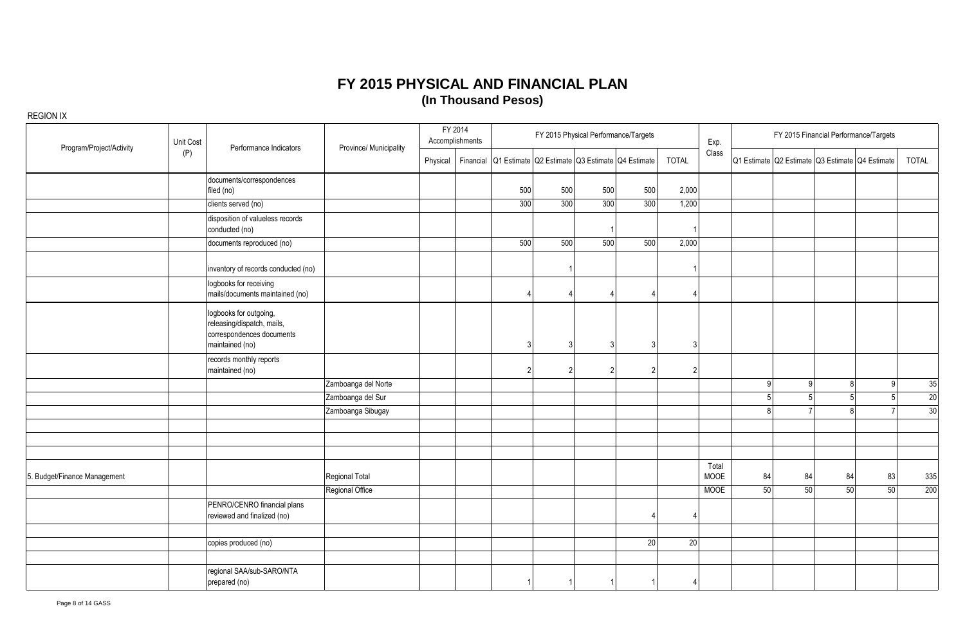| Unit Cost<br>Program/Project/Activity |     |                                                                                                      |                        |          | FY 2014<br>Accomplishments |                                                           |     |     | FY 2015 Physical Performance/Targets |              | Exp.          |    |                |              | FY 2015 Financial Performance/Targets           |                 |
|---------------------------------------|-----|------------------------------------------------------------------------------------------------------|------------------------|----------|----------------------------|-----------------------------------------------------------|-----|-----|--------------------------------------|--------------|---------------|----|----------------|--------------|-------------------------------------------------|-----------------|
|                                       | (P) | Performance Indicators                                                                               | Province/ Municipality | Physical |                            | Financial Q1 Estimate Q2 Estimate Q3 Estimate Q4 Estimate |     |     |                                      | <b>TOTAL</b> | Class         |    |                |              | Q1 Estimate Q2 Estimate Q3 Estimate Q4 Estimate | <b>TOTAL</b>    |
|                                       |     | documents/correspondences<br>filed (no)                                                              |                        |          |                            | 500                                                       | 500 | 500 | 500                                  | 2,000        |               |    |                |              |                                                 |                 |
|                                       |     | clients served (no)                                                                                  |                        |          |                            | 300                                                       | 300 | 300 | 300                                  | 1,200        |               |    |                |              |                                                 |                 |
|                                       |     | disposition of valueless records<br>conducted (no)                                                   |                        |          |                            |                                                           |     |     |                                      |              |               |    |                |              |                                                 |                 |
|                                       |     | documents reproduced (no)                                                                            |                        |          |                            | 500                                                       | 500 | 500 | 500                                  | 2,000        |               |    |                |              |                                                 |                 |
|                                       |     | inventory of records conducted (no)                                                                  |                        |          |                            |                                                           |     |     |                                      |              |               |    |                |              |                                                 |                 |
|                                       |     | logbooks for receiving<br>mails/documents maintained (no)                                            |                        |          |                            |                                                           |     |     |                                      |              |               |    |                |              |                                                 |                 |
|                                       |     | logbooks for outgoing,<br>releasing/dispatch, mails,<br>correspondences documents<br>maintained (no) |                        |          |                            |                                                           | 3   |     |                                      |              |               |    |                |              |                                                 |                 |
|                                       |     | records monthly reports<br>maintained (no)                                                           |                        |          |                            |                                                           | 2   |     |                                      |              |               |    |                |              |                                                 |                 |
|                                       |     |                                                                                                      | Zamboanga del Norte    |          |                            |                                                           |     |     |                                      |              |               | a  | $\mathsf{Q}$   | 8            | 9                                               | 35              |
|                                       |     |                                                                                                      | Zamboanga del Sur      |          |                            |                                                           |     |     |                                      |              |               |    | 5 <sup>1</sup> | 5            | $\sqrt{2}$                                      | $\overline{20}$ |
|                                       |     |                                                                                                      | Zamboanga Sibugay      |          |                            |                                                           |     |     |                                      |              |               |    |                | $\mathsf{R}$ |                                                 | $\overline{30}$ |
|                                       |     |                                                                                                      |                        |          |                            |                                                           |     |     |                                      |              |               |    |                |              |                                                 |                 |
| 5. Budget/Finance Management          |     |                                                                                                      | Regional Total         |          |                            |                                                           |     |     |                                      |              | Total<br>MOOE | 84 | 84             | 84           | 83                                              | 335             |
|                                       |     |                                                                                                      | Regional Office        |          |                            |                                                           |     |     |                                      |              | <b>MOOE</b>   | 50 | 50             | 50           | 50                                              | 200             |
|                                       |     | PENRO/CENRO financial plans<br>reviewed and finalized (no)                                           |                        |          |                            |                                                           |     |     |                                      |              |               |    |                |              |                                                 |                 |
|                                       |     | copies produced (no)                                                                                 |                        |          |                            |                                                           |     |     | 20                                   | 20           |               |    |                |              |                                                 |                 |
|                                       |     | regional SAA/sub-SARO/NTA<br>prepared (no)                                                           |                        |          |                            |                                                           |     |     |                                      | Δ            |               |    |                |              |                                                 |                 |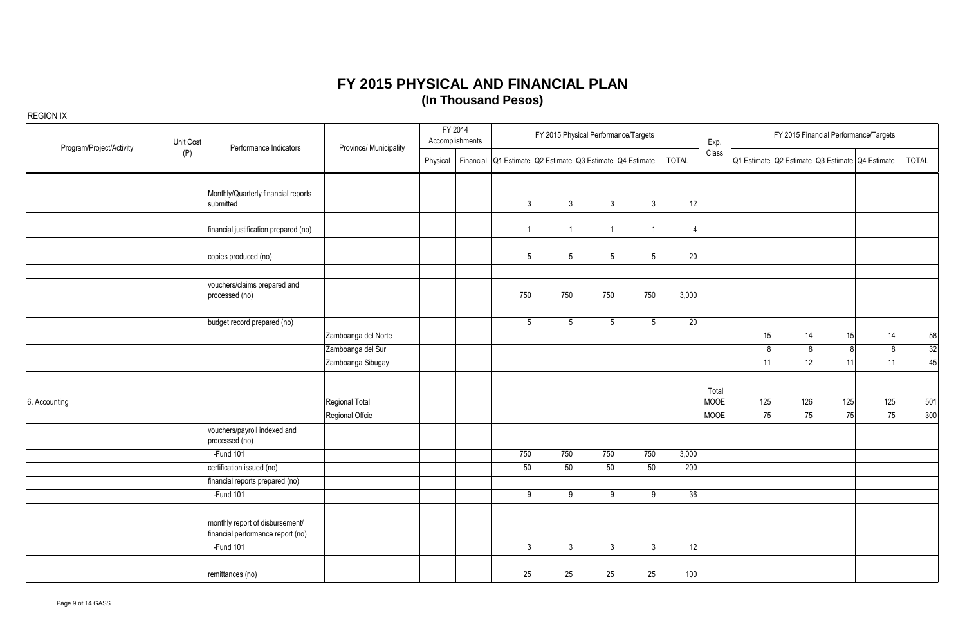| Program/Project/Activity | Unit Cost | Performance Indicators                                               | Province/ Municipality |          | FY 2014<br>Accomplishments |                                                           |     |                | FY 2015 Physical Performance/Targets |              | Exp.             |     |     | FY 2015 Financial Performance/Targets           |     |              |
|--------------------------|-----------|----------------------------------------------------------------------|------------------------|----------|----------------------------|-----------------------------------------------------------|-----|----------------|--------------------------------------|--------------|------------------|-----|-----|-------------------------------------------------|-----|--------------|
|                          | (P)       |                                                                      |                        | Physical |                            | Financial Q1 Estimate Q2 Estimate Q3 Estimate Q4 Estimate |     |                |                                      | <b>TOTAL</b> | $\textsf{Class}$ |     |     | Q1 Estimate Q2 Estimate Q3 Estimate Q4 Estimate |     | <b>TOTAL</b> |
|                          |           |                                                                      |                        |          |                            |                                                           |     |                |                                      |              |                  |     |     |                                                 |     |              |
|                          |           | Monthly/Quarterly financial reports<br>submitted                     |                        |          |                            |                                                           |     | -3 I           | $\mathcal{R}$                        | 12           |                  |     |     |                                                 |     |              |
|                          |           | financial justification prepared (no)                                |                        |          |                            |                                                           |     |                |                                      |              |                  |     |     |                                                 |     |              |
|                          |           | copies produced (no)                                                 |                        |          |                            | 5 <sup>1</sup>                                            | 5   | 5              | 5 <sup>1</sup>                       | 20           |                  |     |     |                                                 |     |              |
|                          |           |                                                                      |                        |          |                            |                                                           |     |                |                                      |              |                  |     |     |                                                 |     |              |
|                          |           | vouchers/claims prepared and<br>processed (no)                       |                        |          |                            | 750                                                       | 750 | 750            | 750                                  | 3,000        |                  |     |     |                                                 |     |              |
|                          |           |                                                                      |                        |          |                            |                                                           |     |                |                                      |              |                  |     |     |                                                 |     |              |
|                          |           | budget record prepared (no)                                          |                        |          |                            | 51                                                        |     | 5              | 5 <sup>1</sup>                       | 20           |                  |     |     |                                                 |     |              |
|                          |           |                                                                      | Zamboanga del Norte    |          |                            |                                                           |     |                |                                      |              |                  | 15  | 14  | 15                                              | 14  | 58           |
|                          |           |                                                                      | Zamboanga del Sur      |          |                            |                                                           |     |                |                                      |              |                  |     | 8   | $\mathsf{R}$                                    | 8   | 32           |
|                          |           |                                                                      | Zamboanga Sibugay      |          |                            |                                                           |     |                |                                      |              |                  | 11  | 12  | 11                                              | 11  | 45           |
| 6. Accounting            |           |                                                                      | Regional Total         |          |                            |                                                           |     |                |                                      |              | Total<br>MOOE    | 125 | 126 | 125                                             | 125 | 501          |
|                          |           |                                                                      | Regional Offcie        |          |                            |                                                           |     |                |                                      |              | <b>MOOE</b>      | 75  | 75  | 75                                              | 75  | 300          |
|                          |           | vouchers/payroll indexed and<br>processed (no)                       |                        |          |                            |                                                           |     |                |                                      |              |                  |     |     |                                                 |     |              |
|                          |           | $-Fund 101$                                                          |                        |          |                            | 750                                                       | 750 | 750            | 750                                  | 3,000        |                  |     |     |                                                 |     |              |
|                          |           | certification issued (no)                                            |                        |          |                            | 50                                                        | 50  | 50             | 50                                   | 200          |                  |     |     |                                                 |     |              |
|                          |           | financial reports prepared (no)                                      |                        |          |                            |                                                           |     |                |                                      |              |                  |     |     |                                                 |     |              |
|                          |           | -Fund 101                                                            |                        |          |                            | -9                                                        | Ω   | -9             | ΩI                                   | 36           |                  |     |     |                                                 |     |              |
|                          |           | monthly report of disbursement/<br>financial performance report (no) |                        |          |                            |                                                           |     |                |                                      |              |                  |     |     |                                                 |     |              |
|                          |           | -Fund 101                                                            |                        |          |                            | $\overline{3}$                                            | 3   | 3 <sup>l</sup> | 3 <sup>1</sup>                       | 12           |                  |     |     |                                                 |     |              |
|                          |           | remittances (no)                                                     |                        |          |                            | 25                                                        | 25  | 25             | 25                                   | 100          |                  |     |     |                                                 |     |              |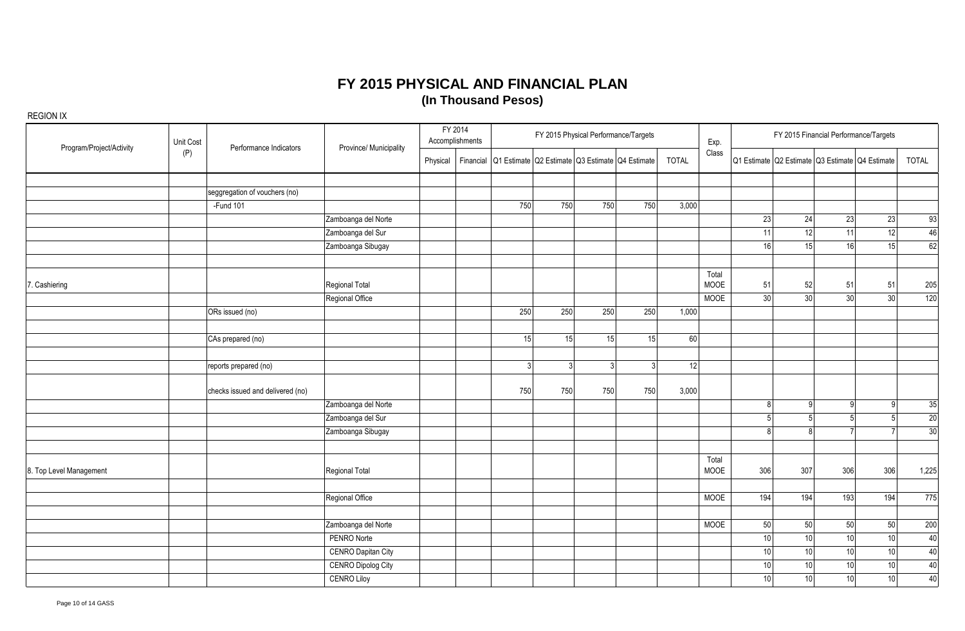| Program/Project/Activity | Unit Cost | Performance Indicators           | Province/ Municipality    |          | FY 2014<br>Accomplishments |                |     |                | FY 2015 Physical Performance/Targets                      |              | Exp.                 |     |                 |                 | FY 2015 Financial Performance/Targets           |              |
|--------------------------|-----------|----------------------------------|---------------------------|----------|----------------------------|----------------|-----|----------------|-----------------------------------------------------------|--------------|----------------------|-----|-----------------|-----------------|-------------------------------------------------|--------------|
|                          | (P)       |                                  |                           | Physical |                            |                |     |                | Financial Q1 Estimate Q2 Estimate Q3 Estimate Q4 Estimate | <b>TOTAL</b> | Class                |     |                 |                 | Q1 Estimate Q2 Estimate Q3 Estimate Q4 Estimate | <b>TOTAL</b> |
|                          |           |                                  |                           |          |                            |                |     |                |                                                           |              |                      |     |                 |                 |                                                 |              |
|                          |           | seggregation of vouchers (no)    |                           |          |                            |                |     |                |                                                           |              |                      |     |                 |                 |                                                 |              |
|                          |           | $-Fund 101$                      |                           |          |                            | 750            | 750 | 750            | 750                                                       | 3,000        |                      |     |                 |                 |                                                 |              |
|                          |           |                                  | Zamboanga del Norte       |          |                            |                |     |                |                                                           |              |                      | 23  | 24              | 23              | 23                                              | 93           |
|                          |           |                                  | Zamboanga del Sur         |          |                            |                |     |                |                                                           |              |                      | 11  | 12              | 11              | 12                                              | 46           |
|                          |           |                                  | Zamboanga Sibugay         |          |                            |                |     |                |                                                           |              |                      | 16  | 15              | 16              | 15                                              | 62           |
| 7. Cashiering            |           |                                  | <b>Regional Total</b>     |          |                            |                |     |                |                                                           |              | Total<br>MOOE        | 51  | 52              | 51              | 51                                              | 205          |
|                          |           |                                  | Regional Office           |          |                            |                |     |                |                                                           |              | <b>MOOE</b>          | 30  | 30              | 30              | 30                                              | 120          |
|                          |           | ORs issued (no)                  |                           |          |                            | 250            | 250 | 250            | 250                                                       | 1,000        |                      |     |                 |                 |                                                 |              |
|                          |           |                                  |                           |          |                            |                |     |                |                                                           |              |                      |     |                 |                 |                                                 |              |
|                          |           | CAs prepared (no)                |                           |          |                            | 15             | 15  | 15             | 15                                                        | 60           |                      |     |                 |                 |                                                 |              |
|                          |           |                                  |                           |          |                            |                |     |                |                                                           |              |                      |     |                 |                 |                                                 |              |
|                          |           | reports prepared (no)            |                           |          |                            | $\overline{3}$ | ্ব  | 3 <sup>l</sup> | 3 <sup>l</sup>                                            | 12           |                      |     |                 |                 |                                                 |              |
|                          |           | checks issued and delivered (no) |                           |          |                            | 750            | 750 | 750            | 750                                                       | 3,000        |                      |     |                 |                 |                                                 |              |
|                          |           |                                  | Zamboanga del Norte       |          |                            |                |     |                |                                                           |              |                      |     | 9 <sup>1</sup>  | $\mathsf{Q}$    | g                                               | 35           |
|                          |           |                                  | Zamboanga del Sur         |          |                            |                |     |                |                                                           |              |                      |     | 5 <sup>1</sup>  | 5               | 5                                               | 20           |
|                          |           |                                  | Zamboanga Sibugay         |          |                            |                |     |                |                                                           |              |                      |     | $\mathbf{8}$    |                 |                                                 | 30           |
| 8. Top Level Management  |           |                                  | Regional Total            |          |                            |                |     |                |                                                           |              | Total<br><b>MOOE</b> | 306 | 307             | 306             | 306                                             | 1,225        |
|                          |           |                                  |                           |          |                            |                |     |                |                                                           |              |                      |     |                 |                 |                                                 |              |
|                          |           |                                  | Regional Office           |          |                            |                |     |                |                                                           |              | <b>MOOE</b>          | 194 | 194             | 193             | 194                                             | 775          |
|                          |           |                                  | Zamboanga del Norte       |          |                            |                |     |                |                                                           |              | <b>MOOE</b>          | 50  | 50              | 50              | 50                                              | 200          |
|                          |           |                                  | PENRO Norte               |          |                            |                |     |                |                                                           |              |                      | 10  | 10              | 10              | 10                                              | 40           |
|                          |           |                                  | <b>CENRO Dapitan City</b> |          |                            |                |     |                |                                                           |              |                      | 10  | 10              | 10 <sup>1</sup> | 10                                              | 40           |
|                          |           |                                  | <b>CENRO Dipolog City</b> |          |                            |                |     |                |                                                           |              |                      | 10  | 10              | 10              | 10                                              | 40           |
|                          |           |                                  | <b>CENRO Liloy</b>        |          |                            |                |     |                |                                                           |              |                      | 10  | 10 <sup>1</sup> | 10              | 10                                              | 40           |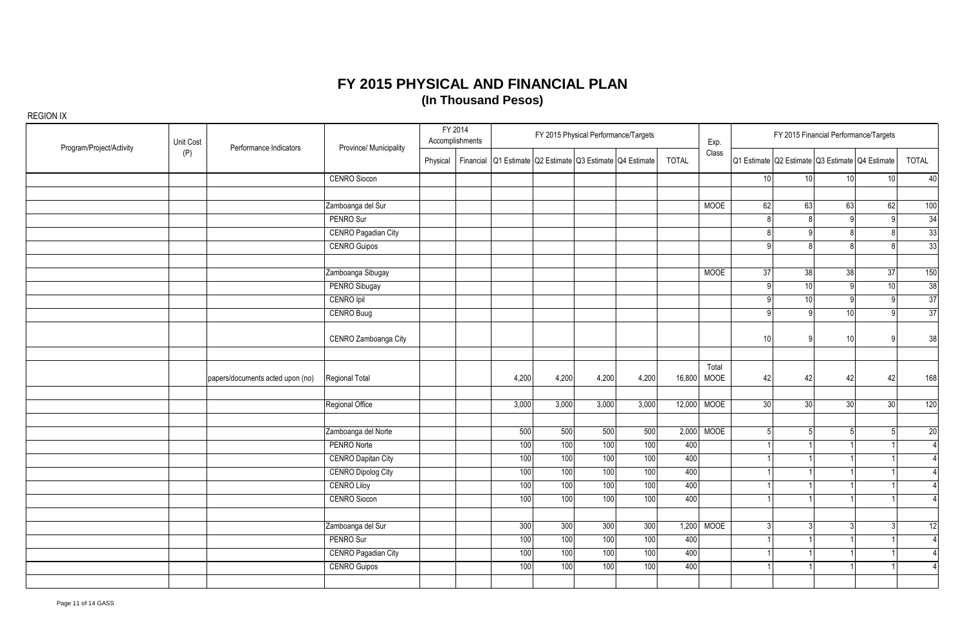| Unit Cost<br>Program/Project/Activity<br>Performance Indicators<br>(P) |                                  | Province/ Municipality     |          | FY 2014<br>Accomplishments |       |       |       | FY 2015 Physical Performance/Targets                      |              | Exp.                 |                 |                 | FY 2015 Financial Performance/Targets           |                 |                 |
|------------------------------------------------------------------------|----------------------------------|----------------------------|----------|----------------------------|-------|-------|-------|-----------------------------------------------------------|--------------|----------------------|-----------------|-----------------|-------------------------------------------------|-----------------|-----------------|
|                                                                        |                                  |                            | Physical |                            |       |       |       | Financial Q1 Estimate Q2 Estimate Q3 Estimate Q4 Estimate | <b>TOTAL</b> | Class                |                 |                 | Q1 Estimate Q2 Estimate Q3 Estimate Q4 Estimate |                 | <b>TOTAL</b>    |
|                                                                        |                                  | <b>CENRO Siocon</b>        |          |                            |       |       |       |                                                           |              |                      | 10 <sup>1</sup> | 10 <sup>1</sup> | 10                                              | 10 <sup>1</sup> | 40              |
|                                                                        |                                  |                            |          |                            |       |       |       |                                                           |              |                      |                 |                 |                                                 |                 |                 |
|                                                                        |                                  | Zamboanga del Sur          |          |                            |       |       |       |                                                           |              | <b>MOOE</b>          | 62              | 63              | 63                                              | 62              | 100             |
|                                                                        |                                  | PENRO Sur                  |          |                            |       |       |       |                                                           |              |                      |                 | 8               |                                                 | $\mathsf{Q}$    | 34              |
|                                                                        |                                  | <b>CENRO Pagadian City</b> |          |                            |       |       |       |                                                           |              |                      |                 | q               |                                                 |                 | 33              |
|                                                                        |                                  | <b>CENRO Guipos</b>        |          |                            |       |       |       |                                                           |              |                      |                 | $\mathsf{R}$    |                                                 |                 | 33              |
|                                                                        |                                  | Zamboanga Sibugay          |          |                            |       |       |       |                                                           |              | <b>MOOE</b>          | 37              | 38              | 38                                              | 37              | 150             |
|                                                                        |                                  | PENRO Sibugay              |          |                            |       |       |       |                                                           |              |                      |                 | 10              |                                                 | 10              | 38              |
|                                                                        |                                  | CENRO Ipil                 |          |                            |       |       |       |                                                           |              |                      |                 | 10 <sup>1</sup> | a                                               | $\mathsf{Q}$    | 37              |
|                                                                        |                                  | CENRO Buug                 |          |                            |       |       |       |                                                           |              |                      |                 | $\mathsf{q}$    | 10 <sup>1</sup>                                 | q               | $\overline{37}$ |
|                                                                        |                                  | CENRO Zamboanga City       |          |                            |       |       |       |                                                           |              |                      | 10              |                 | 10                                              |                 | 38              |
|                                                                        |                                  |                            |          |                            |       |       |       |                                                           |              |                      |                 |                 |                                                 |                 |                 |
|                                                                        | papers/documents acted upon (no) | Regional Total             |          |                            | 4,200 | 4,200 | 4,200 | 4,200                                                     |              | Total<br>16,800 MOOE | 42              | 42              | 42                                              | 42              | 168             |
|                                                                        |                                  | Regional Office            |          |                            | 3,000 | 3,000 | 3,000 | 3,000                                                     |              | 12,000 MOOE          | 30 <sup>1</sup> | 30 <sup>1</sup> | 30 <sup>1</sup>                                 | 30              | 120             |
|                                                                        |                                  |                            |          |                            |       |       |       |                                                           |              |                      |                 |                 |                                                 |                 |                 |
|                                                                        |                                  | Zamboanga del Norte        |          |                            | 500   | 500   | 500   | 500                                                       |              | 2,000 MOOE           |                 | 5               |                                                 | 5               | $\overline{20}$ |
|                                                                        |                                  | PENRO Norte                |          |                            | 100   | 100   | 100   | 100                                                       | 400          |                      |                 |                 |                                                 |                 | $\overline{4}$  |
|                                                                        |                                  | <b>CENRO Dapitan City</b>  |          |                            | 100   | 100   | 100   | 100                                                       | 400          |                      |                 |                 |                                                 |                 | $\overline{4}$  |
|                                                                        |                                  | <b>CENRO Dipolog City</b>  |          |                            | 100   | 100   | 100   | 100                                                       | 400          |                      |                 |                 |                                                 |                 | $\overline{4}$  |
|                                                                        |                                  | <b>CENRO Liloy</b>         |          |                            | 100   | 100   | 100   | 100                                                       | 400          |                      |                 |                 |                                                 |                 | $\overline{4}$  |
|                                                                        |                                  | <b>CENRO Siocon</b>        |          |                            | 100   | 100   | 100   | 100                                                       | 400          |                      |                 |                 |                                                 |                 | $\overline{4}$  |
|                                                                        |                                  | Zamboanga del Sur          |          |                            | 300   | 300   | 300   | 300                                                       |              | 1,200 MOOE           |                 | 3               |                                                 | 3               | 12              |
|                                                                        |                                  | PENRO Sur                  |          |                            | 100   | 100   | 100   | 100                                                       | 400          |                      |                 |                 |                                                 |                 | $\overline{4}$  |
|                                                                        |                                  | <b>CENRO Pagadian City</b> |          |                            | 100   | 100   | 100   | 100                                                       | 400          |                      |                 |                 |                                                 |                 | $\overline{4}$  |
|                                                                        |                                  | <b>CENRO Guipos</b>        |          |                            | 100   | 100   | 100   | 100                                                       | 400          |                      |                 |                 |                                                 |                 | $\overline{4}$  |
|                                                                        |                                  |                            |          |                            |       |       |       |                                                           |              |                      |                 |                 |                                                 |                 |                 |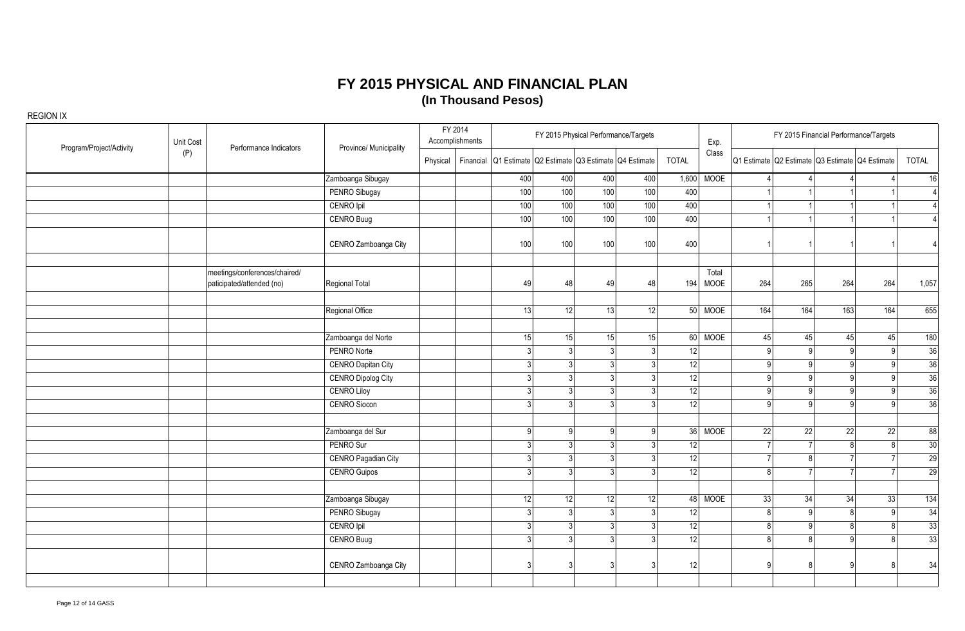| Program/Project/Activity | Unit Cost | Performance Indicators                                     | Province/ Municipality    |          | FY 2014<br>Accomplishments                                |     |     | FY 2015 Physical Performance/Targets |              | Exp.          |     |                | FY 2015 Financial Performance/Targets           |              |                 |
|--------------------------|-----------|------------------------------------------------------------|---------------------------|----------|-----------------------------------------------------------|-----|-----|--------------------------------------|--------------|---------------|-----|----------------|-------------------------------------------------|--------------|-----------------|
|                          | (P)       |                                                            |                           | Physical | Financial Q1 Estimate Q2 Estimate Q3 Estimate Q4 Estimate |     |     |                                      | <b>TOTAL</b> | Class         |     |                | Q1 Estimate Q2 Estimate Q3 Estimate Q4 Estimate |              | <b>TOTAL</b>    |
|                          |           |                                                            | Zamboanga Sibugay         |          | 400                                                       | 400 | 400 | 400                                  |              | 1,600 MOOE    |     |                |                                                 |              | 16              |
|                          |           |                                                            | PENRO Sibugay             |          | 100                                                       | 100 | 100 | 100                                  | 400          |               |     |                |                                                 |              | $\overline{4}$  |
|                          |           |                                                            | CENRO Ipil                |          | $100$                                                     | 100 | 100 | 100                                  | 400          |               |     |                |                                                 |              | $\overline{4}$  |
|                          |           |                                                            | CENRO Buug                |          | 100                                                       | 100 | 100 | 100                                  | 400          |               |     |                |                                                 |              | $\overline{4}$  |
|                          |           |                                                            | CENRO Zamboanga City      |          | 100                                                       | 100 | 100 | 100                                  | 400          |               |     |                |                                                 |              | $\overline{4}$  |
|                          |           | meetings/conferences/chaired/<br>paticipated/attended (no) | Regional Total            |          | 49                                                        | 48  | 49  | 48                                   | 194          | Total<br>MOOE | 264 | 265            | 264                                             | 264          | 1,057           |
|                          |           |                                                            |                           |          |                                                           |     |     |                                      |              |               |     |                |                                                 |              |                 |
|                          |           |                                                            | Regional Office           |          | 13                                                        | 12  | 13  | 12                                   |              | 50 MOOE       | 164 | 164            | 163                                             | 164          | 655             |
|                          |           |                                                            | Zamboanga del Norte       |          | 15                                                        | 15  | 15  | 15                                   |              | 60 MOOE       | 45  | 45             | 45                                              | 45           | 180             |
|                          |           |                                                            | PENRO Norte               |          |                                                           |     |     | 31                                   | 12           |               |     | 9 <sup>1</sup> |                                                 |              | 36              |
|                          |           |                                                            | <b>CENRO Dapitan City</b> |          |                                                           | 3   |     | 31                                   | 12           |               |     | 9              | Q                                               |              | 36              |
|                          |           |                                                            | <b>CENRO Dipolog City</b> |          |                                                           |     |     | 3                                    | 12           |               |     | $\mathsf{q}$   | $\Omega$                                        |              | 36              |
|                          |           |                                                            | <b>CENRO Liloy</b>        |          |                                                           |     |     | 3                                    | 12           |               |     | $\mathsf{Q}$   |                                                 |              | $\overline{36}$ |
|                          |           |                                                            | <b>CENRO Siocon</b>       |          |                                                           | ર   |     | -3 I                                 | 12           |               |     | $\mathsf{Q}$   | Q                                               | q            | 36              |
|                          |           |                                                            | Zamboanga del Sur         |          | a                                                         | g   | g   | 9 <sup>1</sup>                       |              | 36 MOOE       | 22  | 22             | 22                                              | 22           | 88              |
|                          |           |                                                            | PENRO Sur                 |          |                                                           | 3   |     | 3 <sup>1</sup>                       | 12           |               |     | 7              | <sup>8</sup>                                    | 8            | 30              |
|                          |           |                                                            | CENRO Pagadian City       |          |                                                           | ર   |     | 3                                    | 12           |               |     | $\mathbf{8}$   |                                                 |              | 29              |
|                          |           |                                                            | <b>CENRO Guipos</b>       |          |                                                           |     |     | 3                                    | 12           |               |     | 7              |                                                 |              | 29              |
|                          |           |                                                            | Zamboanga Sibugay         |          | 12                                                        | 12  | 12  | 12                                   |              | 48 MOOE       | 33  | 34             | 34                                              | 33           | 134             |
|                          |           |                                                            | PENRO Sibugay             |          |                                                           | 3   |     | $\mathcal{R}$                        | 12           |               |     | 9 <sup>1</sup> |                                                 | $\mathsf{Q}$ | 34              |
|                          |           |                                                            | CENRO Ipil                |          |                                                           | ર   |     | $\mathcal{R}$                        | 12           |               |     | $\overline{9}$ |                                                 |              | 33              |
|                          |           |                                                            | <b>CENRO Buug</b>         |          |                                                           |     |     | 3                                    | 12           |               |     | 8 <sup>1</sup> |                                                 |              | 33              |
|                          |           |                                                            | CENRO Zamboanga City      |          |                                                           |     |     | 3                                    | 12           |               |     |                |                                                 |              | 34              |
|                          |           |                                                            |                           |          |                                                           |     |     |                                      |              |               |     |                |                                                 |              |                 |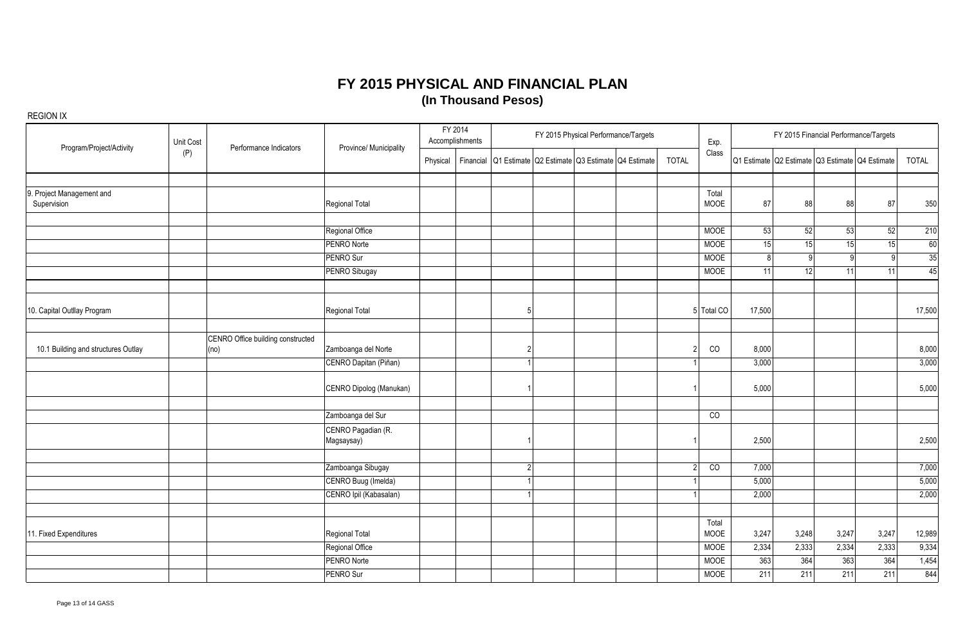| Program/Project/Activity                 | Unit Cost<br>(P) | Performance Indicators                    | Province/ Municipality           | FY 2014<br>Accomplishments |           | FY 2015 Physical Performance/Targets |  |  |                                                 |              | Exp.                 | FY 2015 Financial Performance/Targets |                                                 |              |              |        |
|------------------------------------------|------------------|-------------------------------------------|----------------------------------|----------------------------|-----------|--------------------------------------|--|--|-------------------------------------------------|--------------|----------------------|---------------------------------------|-------------------------------------------------|--------------|--------------|--------|
|                                          |                  |                                           |                                  | Physical                   | Financial |                                      |  |  | Q1 Estimate Q2 Estimate Q3 Estimate Q4 Estimate | <b>TOTAL</b> | Class                |                                       | Q1 Estimate Q2 Estimate Q3 Estimate Q4 Estimate |              |              | TOTAL  |
|                                          |                  |                                           |                                  |                            |           |                                      |  |  |                                                 |              |                      |                                       |                                                 |              |              |        |
| 9. Project Management and<br>Supervision |                  |                                           | <b>Regional Total</b>            |                            |           |                                      |  |  |                                                 |              | Total<br><b>MOOE</b> | 87                                    | 88                                              | 88           | 87           | 350    |
|                                          |                  |                                           | Regional Office                  |                            |           |                                      |  |  |                                                 |              | <b>MOOE</b>          | 53                                    | 52                                              | 53           | 52           | 210    |
|                                          |                  |                                           | PENRO Norte                      |                            |           |                                      |  |  |                                                 |              | <b>MOOE</b>          | 15                                    | 15                                              | 15           | 15           | 60     |
|                                          |                  |                                           | PENRO Sur                        |                            |           |                                      |  |  |                                                 |              | <b>MOOE</b>          |                                       | 9 <sup>1</sup>                                  | $\mathsf{Q}$ | $\mathsf{Q}$ | 35     |
|                                          |                  |                                           | PENRO Sibugay                    |                            |           |                                      |  |  |                                                 |              | <b>MOOE</b>          | 11                                    | 12                                              | 11           | 11           | 45     |
| 10. Capital Outllay Program              |                  |                                           | <b>Regional Total</b>            |                            |           | 5                                    |  |  |                                                 |              | 5 Total CO           | 17,500                                |                                                 |              |              | 17,500 |
|                                          |                  |                                           |                                  |                            |           |                                      |  |  |                                                 |              |                      |                                       |                                                 |              |              |        |
| 10.1 Building and structures Outlay      |                  | CENRO Office building constructed<br>(no) | Zamboanga del Norte              |                            |           |                                      |  |  |                                                 |              | CO                   | 8,000                                 |                                                 |              |              | 8,000  |
|                                          |                  |                                           | CENRO Dapitan (Piñan)            |                            |           |                                      |  |  |                                                 |              |                      | 3,000                                 |                                                 |              |              | 3,000  |
|                                          |                  |                                           | CENRO Dipolog (Manukan)          |                            |           |                                      |  |  |                                                 |              |                      | 5,000                                 |                                                 |              |              | 5,000  |
|                                          |                  |                                           | Zamboanga del Sur                |                            |           |                                      |  |  |                                                 |              | CO                   |                                       |                                                 |              |              |        |
|                                          |                  |                                           | CENRO Pagadian (R.<br>Magsaysay) |                            |           |                                      |  |  |                                                 |              |                      | 2,500                                 |                                                 |              |              | 2,500  |
|                                          |                  |                                           |                                  |                            |           |                                      |  |  |                                                 |              |                      |                                       |                                                 |              |              |        |
|                                          |                  |                                           | Zamboanga Sibugay                |                            |           | <sup>0</sup>                         |  |  |                                                 | c            | $\overline{c}$       | 7,000                                 |                                                 |              |              | 7,000  |
|                                          |                  |                                           | CENRO Buug (Imelda)              |                            |           |                                      |  |  |                                                 |              |                      | 5,000                                 |                                                 |              |              | 5,000  |
|                                          |                  |                                           | CENRO Ipil (Kabasalan)           |                            |           |                                      |  |  |                                                 |              |                      | 2,000                                 |                                                 |              |              | 2,000  |
| 11. Fixed Expenditures                   |                  |                                           | Regional Total                   |                            |           |                                      |  |  |                                                 |              | Total<br><b>MOOE</b> | 3,247                                 | 3,248                                           | 3,247        | 3,247        | 12,989 |
|                                          |                  |                                           | Regional Office                  |                            |           |                                      |  |  |                                                 |              | <b>MOOE</b>          | 2,334                                 | 2,333                                           | 2,334        | 2,333        | 9,334  |
|                                          |                  |                                           | PENRO Norte                      |                            |           |                                      |  |  |                                                 |              | <b>MOOE</b>          | 363                                   | 364                                             | 363          | 364          | 1,454  |
|                                          |                  |                                           | PENRO Sur                        |                            |           |                                      |  |  |                                                 |              | MOOE                 | 211                                   | 211                                             | 211          | 211          | 844    |